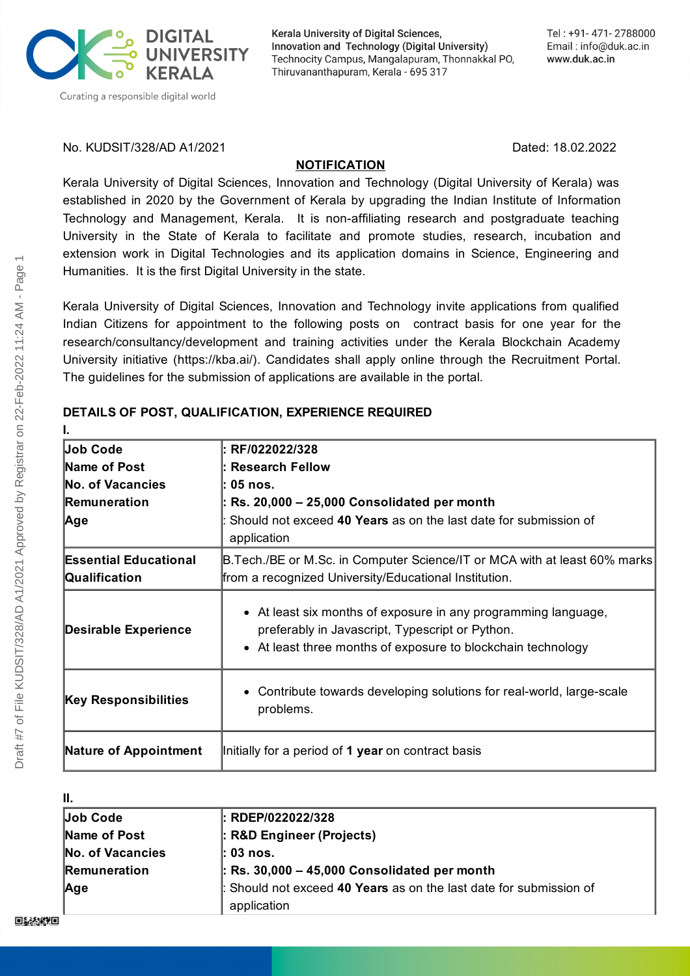

Kerala University of Digital Sciences, Innovation and Technology (Digital University) Technocity Campus, Mangalapuram, Thonnakkal PO, Thiruvananthapuram, Kerala - 695 317

No. KUDSIT/328/AD A1/2021 Dated: 18.02.2022

### **NOTIFICATION**

Kerala University of Digital Sciences, Innovation and Technology (Digital University of Kerala) was established in 2020 by the Government of Kerala by upgrading the Indian Institute of Information Technology and Management, Kerala. It is non-affiliating research and postgraduate teaching University in the State of Kerala to facilitate and promote studies, research, incubation and extension work in Digital Technologies and its application domains in Science, Engineering and Humanities. It is the first Digital University in the state.

Kerala University of Digital Sciences, Innovation and Technology invite applications from qualified Indian Citizens for appointment to the following posts on contract basis for one year for the research/consultancy/development and training activities under the Kerala Blockchain Academy University initiative (https://kba.ai/). Candidates shall apply online through the Recruitment Portal. The guidelines for the submission of applications are available in the portal.

| Job Code                     | RF/022022/328                                                                                                                                                                     |
|------------------------------|-----------------------------------------------------------------------------------------------------------------------------------------------------------------------------------|
| Name of Post                 | <b>Research Fellow</b>                                                                                                                                                            |
| No. of Vacancies             | $05$ nos.                                                                                                                                                                         |
| Remuneration                 | Rs. 20,000 - 25,000 Consolidated per month                                                                                                                                        |
| Age                          | Should not exceed 40 Years as on the last date for submission of<br>application                                                                                                   |
| <b>Essential Educational</b> | <b>B.Tech./BE or M.Sc. in Computer Science/IT or MCA with at least 60% marks</b>                                                                                                  |
| Qualification                | from a recognized University/Educational Institution.                                                                                                                             |
| <b>Desirable Experience</b>  | • At least six months of exposure in any programming language,<br>preferably in Javascript, Typescript or Python.<br>• At least three months of exposure to blockchain technology |
| <b>Key Responsibilities</b>  | • Contribute towards developing solutions for real-world, large-scale<br>problems.                                                                                                |
| <b>Nature of Appointment</b> | Initially for a period of 1 year on contract basis                                                                                                                                |

## **DETAILS OF POST, QUALIFICATION, EXPERIENCE REQUIRED**

| П.               |                                                                                 |
|------------------|---------------------------------------------------------------------------------|
| Job Code         | l: RDEP/022022/328                                                              |
| Name of Post     | : R&D Engineer (Projects)                                                       |
| No. of Vacancies | l: 03 nos.                                                                      |
| Remuneration     | $\vert$ : Rs. 30,000 - 45,000 Consolidated per month                            |
| Age              | Should not exceed 40 Years as on the last date for submission of<br>application |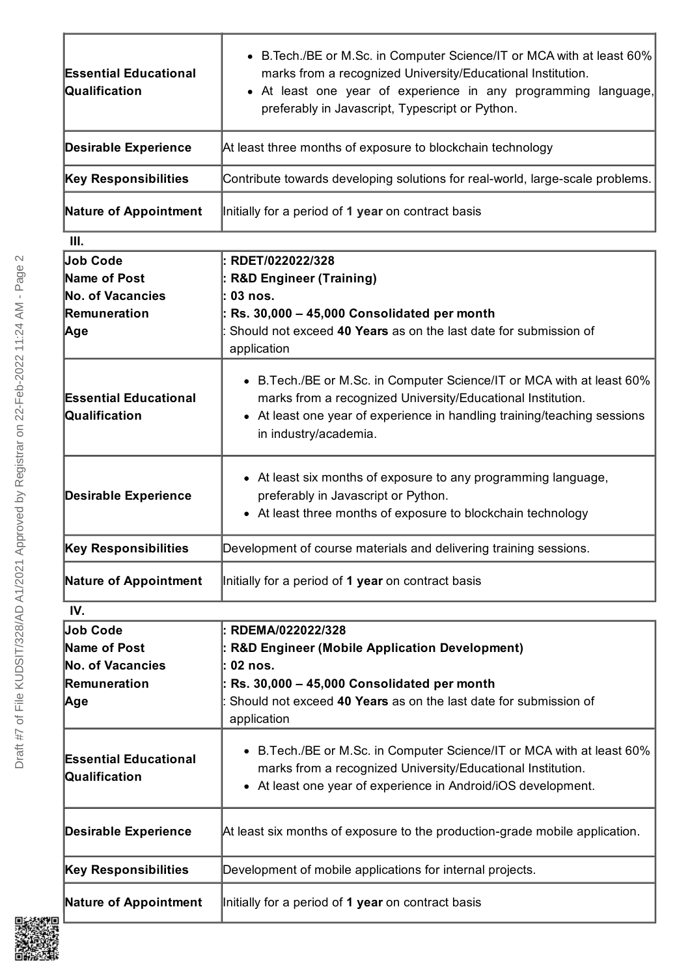| <b>Essential Educational</b><br>Qualification                       | • B. Tech./BE or M.Sc. in Computer Science/IT or MCA with at least 60%<br>marks from a recognized University/Educational Institution.<br>• At least one year of experience in any programming language,<br>preferably in Javascript, Typescript or Python.       |
|---------------------------------------------------------------------|------------------------------------------------------------------------------------------------------------------------------------------------------------------------------------------------------------------------------------------------------------------|
| <b>Desirable Experience</b>                                         | At least three months of exposure to blockchain technology                                                                                                                                                                                                       |
| <b>Key Responsibilities</b>                                         | Contribute towards developing solutions for real-world, large-scale problems.                                                                                                                                                                                    |
| <b>Nature of Appointment</b>                                        | Initially for a period of 1 year on contract basis                                                                                                                                                                                                               |
| III.                                                                |                                                                                                                                                                                                                                                                  |
| <b>Job Code</b><br>Name of Post                                     | RDET/022022/328<br>: R&D Engineer (Training)                                                                                                                                                                                                                     |
| <b>No. of Vacancies</b>                                             | : 03 nos.                                                                                                                                                                                                                                                        |
| Remuneration<br>∣Age                                                | : Rs. 30,000 - 45,000 Consolidated per month<br>Should not exceed 40 Years as on the last date for submission of<br>application                                                                                                                                  |
| <b>Essential Educational</b><br>Qualification                       | B. Tech./BE or M.Sc. in Computer Science/IT or MCA with at least 60%<br>$\bullet$<br>marks from a recognized University/Educational Institution.<br>At least one year of experience in handling training/teaching sessions<br>$\bullet$<br>in industry/academia. |
| <b>Desirable Experience</b>                                         | • At least six months of exposure to any programming language,<br>preferably in Javascript or Python.<br>At least three months of exposure to blockchain technology<br>$\bullet$                                                                                 |
| <b>Key Responsibilities</b>                                         | Development of course materials and delivering training sessions.                                                                                                                                                                                                |
| <b>Nature of Appointment</b>                                        | Initially for a period of 1 year on contract basis                                                                                                                                                                                                               |
| IV.                                                                 |                                                                                                                                                                                                                                                                  |
| <b>Job Code</b><br>Name of Post<br>No. of Vacancies<br>Remuneration | : RDEMA/022022/328<br>: R&D Engineer (Mobile Application Development)<br>02 nos.<br>$:$ Rs. 30,000 $-$ 45,000 Consolidated per month                                                                                                                             |
| ∣Age                                                                | Should not exceed 40 Years as on the last date for submission of<br>application                                                                                                                                                                                  |
| <b>Essential Educational</b><br>Qualification                       | B. Tech./BE or M.Sc. in Computer Science/IT or MCA with at least 60%<br>$\bullet$<br>marks from a recognized University/Educational Institution.<br>At least one year of experience in Android/iOS development.                                                  |
| <b>Desirable Experience</b>                                         | At least six months of exposure to the production-grade mobile application.                                                                                                                                                                                      |
| <b>Key Responsibilities</b>                                         | Development of mobile applications for internal projects.                                                                                                                                                                                                        |
| <b>Nature of Appointment</b>                                        | Initially for a period of 1 year on contract basis                                                                                                                                                                                                               |

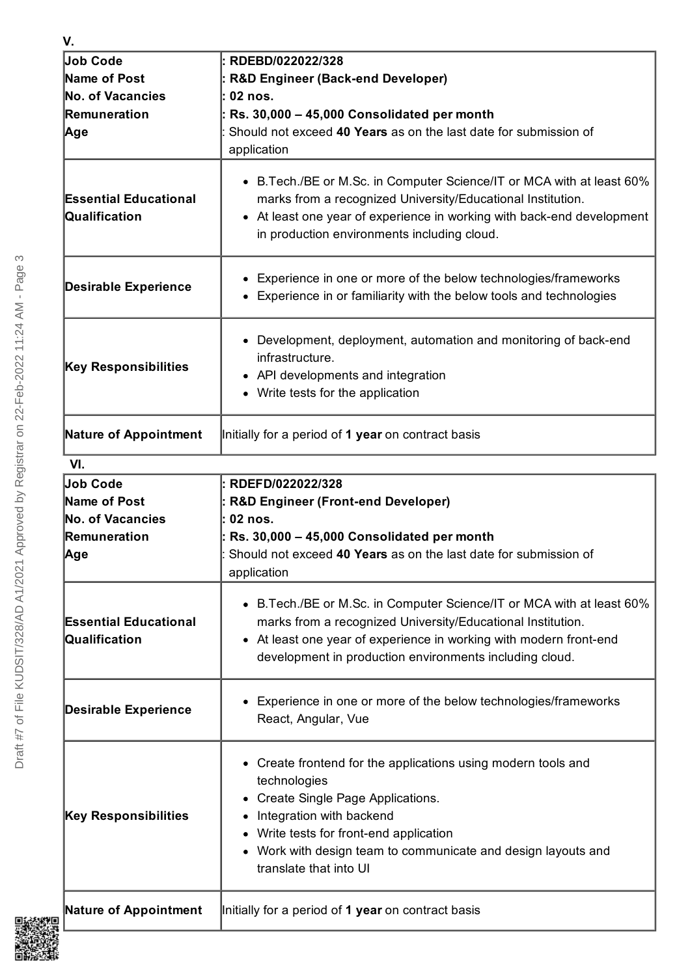| V.                                            |                                                                                                                                                                                                                                                                         |
|-----------------------------------------------|-------------------------------------------------------------------------------------------------------------------------------------------------------------------------------------------------------------------------------------------------------------------------|
| Job Code                                      | RDEBD/022022/328                                                                                                                                                                                                                                                        |
| Name of Post                                  | <b>R&amp;D Engineer (Back-end Developer)</b>                                                                                                                                                                                                                            |
| No. of Vacancies                              | 02 nos.                                                                                                                                                                                                                                                                 |
| Remuneration                                  | Rs. 30,000 - 45,000 Consolidated per month                                                                                                                                                                                                                              |
| Age                                           | Should not exceed 40 Years as on the last date for submission of                                                                                                                                                                                                        |
|                                               | application                                                                                                                                                                                                                                                             |
| <b>Essential Educational</b><br>Qualification | • B. Tech./BE or M. Sc. in Computer Science/IT or MCA with at least 60%<br>marks from a recognized University/Educational Institution.<br>At least one year of experience in working with back-end development                                                          |
|                                               | in production environments including cloud.                                                                                                                                                                                                                             |
|                                               | Experience in one or more of the below technologies/frameworks                                                                                                                                                                                                          |
| <b>Desirable Experience</b>                   | Experience in or familiarity with the below tools and technologies                                                                                                                                                                                                      |
|                                               | • Development, deployment, automation and monitoring of back-end                                                                                                                                                                                                        |
| <b>Key Responsibilities</b>                   | infrastructure.                                                                                                                                                                                                                                                         |
|                                               | API developments and integration<br>Write tests for the application                                                                                                                                                                                                     |
|                                               |                                                                                                                                                                                                                                                                         |
| Nature of Appointment                         | Initially for a period of 1 year on contract basis                                                                                                                                                                                                                      |
| VI.                                           |                                                                                                                                                                                                                                                                         |
| Job Code                                      | RDEFD/022022/328                                                                                                                                                                                                                                                        |
| Name of Post                                  | <b>R&amp;D Engineer (Front-end Developer)</b>                                                                                                                                                                                                                           |
| <b>No. of Vacancies</b>                       | 02 nos.                                                                                                                                                                                                                                                                 |
| Remuneration                                  | Rs. 30,000 - 45,000 Consolidated per month<br>Should not exceed 40 Years as on the last date for submission of                                                                                                                                                          |
| Age                                           | application                                                                                                                                                                                                                                                             |
| <b>Essential Educational</b><br>Qualification | • B. Tech./BE or M. Sc. in Computer Science/IT or MCA with at least 60%<br>marks from a recognized University/Educational Institution.<br>• At least one year of experience in working with modern front-end<br>development in production environments including cloud. |
| <b>Desirable Experience</b>                   | Experience in one or more of the below technologies/frameworks<br>React, Angular, Vue                                                                                                                                                                                   |
|                                               | • Create frontend for the applications using modern tools and<br>technologies<br>Create Single Page Applications.                                                                                                                                                       |
| <b>Key Responsibilities</b>                   | Integration with backend<br>Write tests for front-end application<br>Work with design team to communicate and design layouts and<br>translate that into UI                                                                                                              |
| <b>Nature of Appointment</b>                  | Initially for a period of 1 year on contract basis                                                                                                                                                                                                                      |

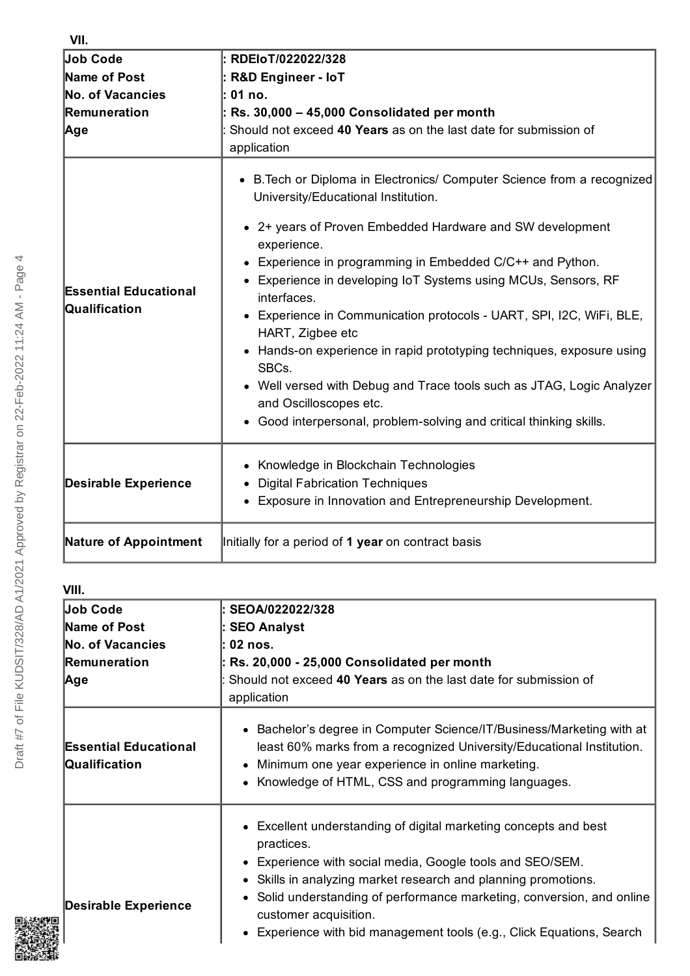| Job Code                                      | RDEIoT/022022/328                                                                                                                                                                      |
|-----------------------------------------------|----------------------------------------------------------------------------------------------------------------------------------------------------------------------------------------|
| Name of Post                                  | <b>R&amp;D Engineer - IoT</b>                                                                                                                                                          |
| No. of Vacancies                              | 01 no.                                                                                                                                                                                 |
| Remuneration                                  | Rs. 30,000 - 45,000 Consolidated per month                                                                                                                                             |
| <b>Age</b>                                    | Should not exceed 40 Years as on the last date for submission of<br>application                                                                                                        |
|                                               | B. Tech or Diploma in Electronics/ Computer Science from a recognized<br>$\bullet$<br>University/Educational Institution.<br>• 2+ years of Proven Embedded Hardware and SW development |
|                                               | experience.                                                                                                                                                                            |
|                                               | • Experience in programming in Embedded C/C++ and Python.                                                                                                                              |
| <b>Essential Educational</b><br>Qualification | Experience in developing IoT Systems using MCUs, Sensors, RF<br>interfaces.                                                                                                            |
|                                               | • Experience in Communication protocols - UART, SPI, I2C, WiFi, BLE,<br>HART, Zigbee etc                                                                                               |
|                                               | • Hands-on experience in rapid prototyping techniques, exposure using<br>SBCs.                                                                                                         |
|                                               | • Well versed with Debug and Trace tools such as JTAG, Logic Analyzer<br>and Oscilloscopes etc.                                                                                        |
|                                               | • Good interpersonal, problem-solving and critical thinking skills.                                                                                                                    |
| <b>Desirable Experience</b>                   | • Knowledge in Blockchain Technologies                                                                                                                                                 |
|                                               | <b>Digital Fabrication Techniques</b>                                                                                                                                                  |
|                                               | • Exposure in Innovation and Entrepreneurship Development.                                                                                                                             |
| <b>Nature of Appointment</b>                  | Initially for a period of 1 year on contract basis                                                                                                                                     |

| VIII.                                                                      |                                                                                                                                                                                                                                                                                                                                                                                           |
|----------------------------------------------------------------------------|-------------------------------------------------------------------------------------------------------------------------------------------------------------------------------------------------------------------------------------------------------------------------------------------------------------------------------------------------------------------------------------------|
| <b>Job Code</b><br>Name of Post<br>No. of Vacancies<br>Remuneration<br>Age | SEOA/022022/328<br><b>SEO Analyst</b><br>02 nos.<br>Rs. 20,000 - 25,000 Consolidated per month<br>Should not exceed 40 Years as on the last date for submission of<br>application                                                                                                                                                                                                         |
| <b>Essential Educational</b><br>Qualification                              | • Bachelor's degree in Computer Science/IT/Business/Marketing with at<br>least 60% marks from a recognized University/Educational Institution.<br>Minimum one year experience in online marketing.<br>Knowledge of HTML, CSS and programming languages.                                                                                                                                   |
| <b>Desirable Experience</b>                                                | • Excellent understanding of digital marketing concepts and best<br>practices.<br>• Experience with social media, Google tools and SEO/SEM.<br>• Skills in analyzing market research and planning promotions.<br>• Solid understanding of performance marketing, conversion, and online<br>customer acquisition.<br>• Experience with bid management tools (e.g., Click Equations, Search |

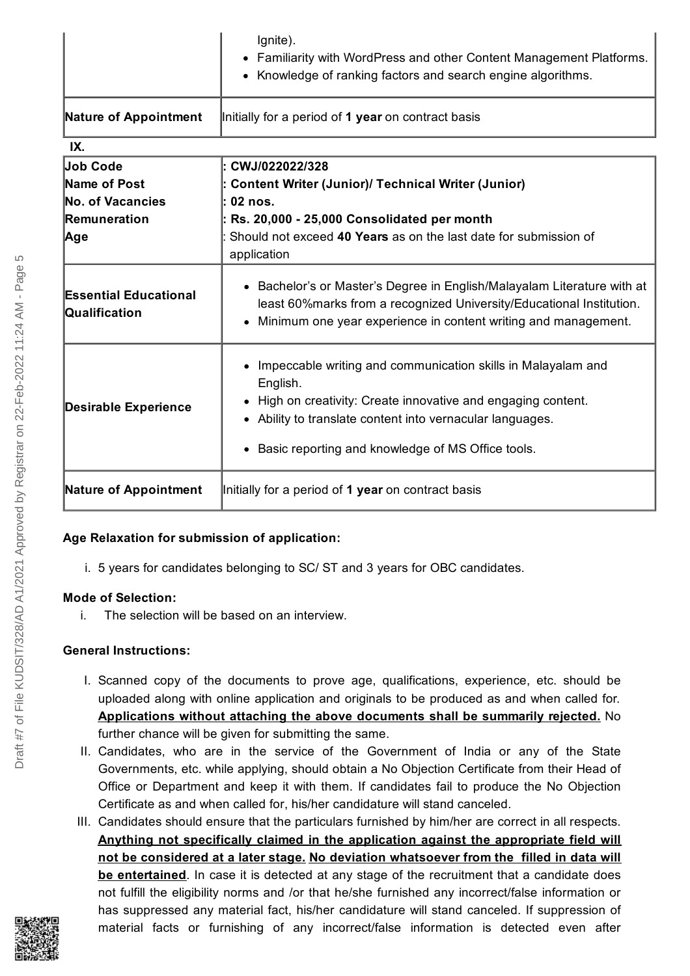|                                               | Ignite).<br>• Familiarity with WordPress and other Content Management Platforms.<br>• Knowledge of ranking factors and search engine algorithms.                                                                                                            |
|-----------------------------------------------|-------------------------------------------------------------------------------------------------------------------------------------------------------------------------------------------------------------------------------------------------------------|
| <b>Nature of Appointment</b>                  | Initially for a period of 1 year on contract basis                                                                                                                                                                                                          |
| IX.                                           |                                                                                                                                                                                                                                                             |
| <b>Job Code</b>                               | CWJ/022022/328                                                                                                                                                                                                                                              |
| Name of Post                                  | <b>Content Writer (Junior)/ Technical Writer (Junior)</b>                                                                                                                                                                                                   |
| No. of Vacancies                              | 02 nos.                                                                                                                                                                                                                                                     |
| Remuneration                                  | Rs. 20,000 - 25,000 Consolidated per month                                                                                                                                                                                                                  |
| Age                                           | Should not exceed 40 Years as on the last date for submission of<br>application                                                                                                                                                                             |
| <b>Essential Educational</b><br>Qualification | • Bachelor's or Master's Degree in English/Malayalam Literature with at<br>least 60% marks from a recognized University/Educational Institution.<br>Minimum one year experience in content writing and management.                                          |
| <b>Desirable Experience</b>                   | • Impeccable writing and communication skills in Malayalam and<br>English.<br>High on creativity: Create innovative and engaging content.<br>Ability to translate content into vernacular languages.<br>• Basic reporting and knowledge of MS Office tools. |
| <b>Nature of Appointment</b>                  | Initially for a period of 1 year on contract basis                                                                                                                                                                                                          |

## **Age Relaxation for submission of application:**

i. 5 years for candidates belonging to SC/ ST and 3 years for OBC candidates.

## **Mode of Selection:**

i. The selection will be based on an interview.

# **General Instructions:**

- I. Scanned copy of the documents to prove age, qualifications, experience, etc. should be uploaded along with online application and originals to be produced as and when called for. **Applications without attaching the above documents shall be summarily rejected.** No further chance will be given for submitting the same.
- II. Candidates, who are in the service of the Government of India or any of the State Governments, etc. while applying, should obtain a No Objection Certificate from their Head of Office or Department and keep it with them. If candidates fail to produce the No Objection Certificate as and when called for, his/her candidature will stand canceled.
- III. Candidates should ensure that the particulars furnished by him/her are correct in all respects. **Anything not specifically claimed in the application against the appropriate field will not be considered at a later stage. No deviation whatsoever from the filled in data will be entertained**. In case it is detected at any stage of the recruitment that a candidate does not fulfill the eligibility norms and /or that he/she furnished any incorrect/false information or has suppressed any material fact, his/her candidature will stand canceled. If suppression of material facts or furnishing of any incorrect/false information is detected even after

Draft #7 of File KUDSIT/328/AD A1/2021 Approved by Registrar on 22-Feb-2022 11:24 AM - Page 5

Draft #7 of File KUDSIT/328/AD A1/2021 Approved by Registrar on 22-Feb-2022 11:24 AM - Page

 $\overline{10}$